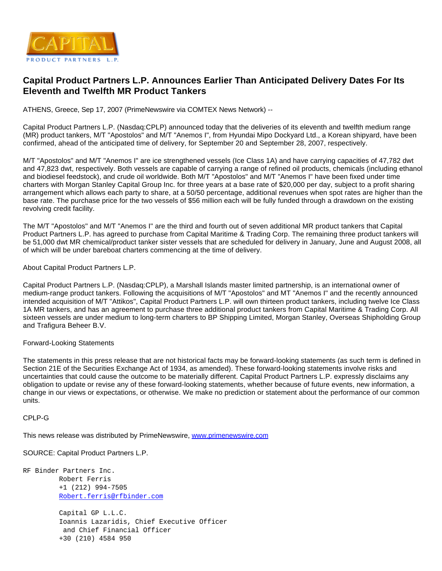

## **Capital Product Partners L.P. Announces Earlier Than Anticipated Delivery Dates For Its Eleventh and Twelfth MR Product Tankers**

ATHENS, Greece, Sep 17, 2007 (PrimeNewswire via COMTEX News Network) --

Capital Product Partners L.P. (Nasdaq:CPLP) announced today that the deliveries of its eleventh and twelfth medium range (MR) product tankers, M/T "Apostolos" and M/T "Anemos I", from Hyundai Mipo Dockyard Ltd., a Korean shipyard, have been confirmed, ahead of the anticipated time of delivery, for September 20 and September 28, 2007, respectively.

M/T "Apostolos" and M/T "Anemos I" are ice strengthened vessels (Ice Class 1A) and have carrying capacities of 47,782 dwt and 47,823 dwt, respectively. Both vessels are capable of carrying a range of refined oil products, chemicals (including ethanol and biodiesel feedstock), and crude oil worldwide. Both M/T "Apostolos" and M/T "Anemos I" have been fixed under time charters with Morgan Stanley Capital Group Inc. for three years at a base rate of \$20,000 per day, subject to a profit sharing arrangement which allows each party to share, at a 50/50 percentage, additional revenues when spot rates are higher than the base rate. The purchase price for the two vessels of \$56 million each will be fully funded through a drawdown on the existing revolving credit facility.

The M/T "Apostolos" and M/T "Anemos I" are the third and fourth out of seven additional MR product tankers that Capital Product Partners L.P. has agreed to purchase from Capital Maritime & Trading Corp. The remaining three product tankers will be 51,000 dwt MR chemical/product tanker sister vessels that are scheduled for delivery in January, June and August 2008, all of which will be under bareboat charters commencing at the time of delivery.

About Capital Product Partners L.P.

Capital Product Partners L.P. (Nasdaq:CPLP), a Marshall Islands master limited partnership, is an international owner of medium-range product tankers. Following the acquisitions of M/T "Apostolos" and MT "Anemos I" and the recently announced intended acquisition of M/T "Attikos", Capital Product Partners L.P. will own thirteen product tankers, including twelve Ice Class 1A MR tankers, and has an agreement to purchase three additional product tankers from Capital Maritime & Trading Corp. All sixteen vessels are under medium to long-term charters to BP Shipping Limited, Morgan Stanley, Overseas Shipholding Group and Trafigura Beheer B.V.

## Forward-Looking Statements

The statements in this press release that are not historical facts may be forward-looking statements (as such term is defined in Section 21E of the Securities Exchange Act of 1934, as amended). These forward-looking statements involve risks and uncertainties that could cause the outcome to be materially different. Capital Product Partners L.P. expressly disclaims any obligation to update or revise any of these forward-looking statements, whether because of future events, new information, a change in our views or expectations, or otherwise. We make no prediction or statement about the performance of our common units.

CPLP-G

This news release was distributed by PrimeNewswire, [www.primenewswire.com](http://www.primenewswire.com/)

SOURCE: Capital Product Partners L.P.

RF Binder Partners Inc. Robert Ferris +1 (212) 994-7505 [Robert.ferris@rfbinder.com](mailto:Robert.ferris@rfbinder.com) Capital GP L.L.C.

 Ioannis Lazaridis, Chief Executive Officer and Chief Financial Officer +30 (210) 4584 950